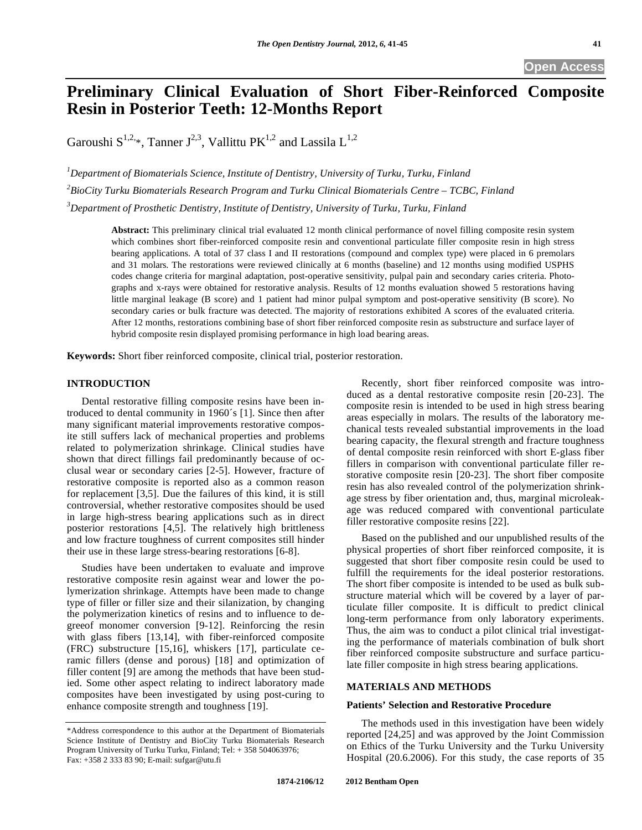# **Preliminary Clinical Evaluation of Short Fiber-Reinforced Composite Resin in Posterior Teeth: 12-Months Report**

Garoushi  $S^{1,2,*}$ . Tanner  $J^{2,3}$ . Vallittu PK<sup>1,2</sup> and Lassila L<sup>1,2</sup>

*1 Department of Biomaterials Science, Institute of Dentistry, University of Turku, Turku, Finland 2 BioCity Turku Biomaterials Research Program and Turku Clinical Biomaterials Centre – TCBC, Finland 3 Department of Prosthetic Dentistry, Institute of Dentistry, University of Turku, Turku, Finland* 

**Abstract:** This preliminary clinical trial evaluated 12 month clinical performance of novel filling composite resin system which combines short fiber-reinforced composite resin and conventional particulate filler composite resin in high stress bearing applications. A total of 37 class I and II restorations (compound and complex type) were placed in 6 premolars and 31 molars. The restorations were reviewed clinically at 6 months (baseline) and 12 months using modified USPHS codes change criteria for marginal adaptation, post-operative sensitivity, pulpal pain and secondary caries criteria. Photographs and x-rays were obtained for restorative analysis. Results of 12 months evaluation showed 5 restorations having little marginal leakage (B score) and 1 patient had minor pulpal symptom and post-operative sensitivity (B score). No secondary caries or bulk fracture was detected. The majority of restorations exhibited A scores of the evaluated criteria. After 12 months, restorations combining base of short fiber reinforced composite resin as substructure and surface layer of hybrid composite resin displayed promising performance in high load bearing areas.

**Keywords:** Short fiber reinforced composite, clinical trial, posterior restoration.

# **INTRODUCTION**

Dental restorative filling composite resins have been introduced to dental community in 1960´s [1]. Since then after many significant material improvements restorative composite still suffers lack of mechanical properties and problems related to polymerization shrinkage. Clinical studies have shown that direct fillings fail predominantly because of occlusal wear or secondary caries [2-5]. However, fracture of restorative composite is reported also as a common reason for replacement [3,5]. Due the failures of this kind, it is still controversial, whether restorative composites should be used in large high-stress bearing applications such as in direct posterior restorations [4,5]. The relatively high brittleness and low fracture toughness of current composites still hinder their use in these large stress-bearing restorations [6-8].

Studies have been undertaken to evaluate and improve restorative composite resin against wear and lower the polymerization shrinkage. Attempts have been made to change type of filler or filler size and their silanization, by changing the polymerization kinetics of resins and to influence to degreeof monomer conversion [9-12]. Reinforcing the resin with glass fibers [13,14], with fiber-reinforced composite (FRC) substructure [15,16], whiskers [17], particulate ceramic fillers (dense and porous) [18] and optimization of filler content [9] are among the methods that have been studied. Some other aspect relating to indirect laboratory made composites have been investigated by using post-curing to enhance composite strength and toughness [19].

Recently, short fiber reinforced composite was introduced as a dental restorative composite resin [20-23]. The composite resin is intended to be used in high stress bearing areas especially in molars. The results of the laboratory mechanical tests revealed substantial improvements in the load bearing capacity, the flexural strength and fracture toughness of dental composite resin reinforced with short E-glass fiber fillers in comparison with conventional particulate filler restorative composite resin [20-23]. The short fiber composite resin has also revealed control of the polymerization shrinkage stress by fiber orientation and, thus, marginal microleakage was reduced compared with conventional particulate filler restorative composite resins [22].

Based on the published and our unpublished results of the physical properties of short fiber reinforced composite, it is suggested that short fiber composite resin could be used to fulfill the requirements for the ideal posterior restorations. The short fiber composite is intended to be used as bulk substructure material which will be covered by a layer of particulate filler composite. It is difficult to predict clinical long-term performance from only laboratory experiments. Thus, the aim was to conduct a pilot clinical trial investigating the performance of materials combination of bulk short fiber reinforced composite substructure and surface particulate filler composite in high stress bearing applications.

# **MATERIALS AND METHODS**

# **Patients' Selection and Restorative Procedure**

The methods used in this investigation have been widely reported [24,25] and was approved by the Joint Commission on Ethics of the Turku University and the Turku University Hospital (20.6.2006). For this study, the case reports of 35

<sup>\*</sup>Address correspondence to this author at the Department of Biomaterials Science Institute of Dentistry and BioCity Turku Biomaterials Research Program University of Turku Turku, Finland; Tel: + 358 504063976; Fax: +358 2 333 83 90; E-mail: sufgar@utu.fi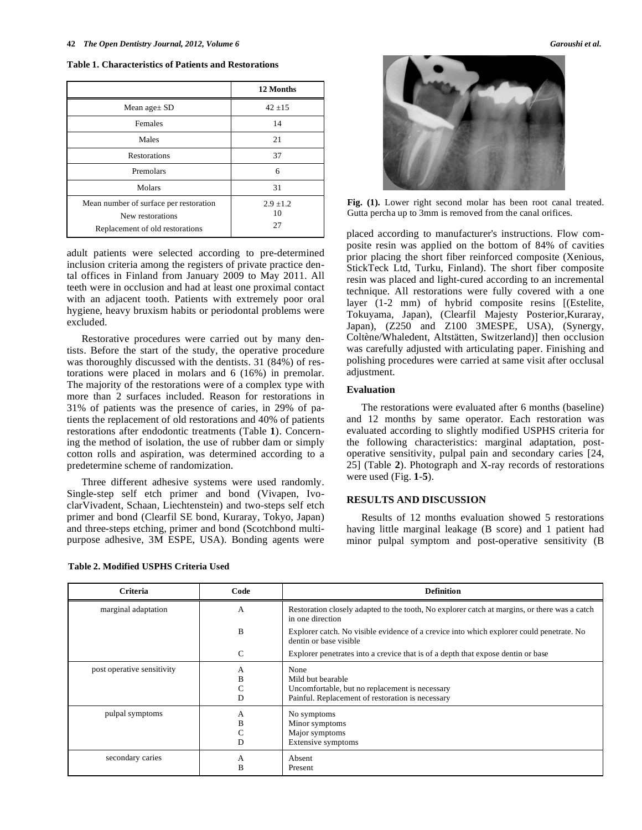**Table 1. Characteristics of Patients and Restorations** 

|                                                                                               | 12 Months                 |
|-----------------------------------------------------------------------------------------------|---------------------------|
| Mean age $\pm$ SD                                                                             | $42 + 15$                 |
| Females                                                                                       | 14                        |
| Males                                                                                         | 21                        |
| <b>Restorations</b>                                                                           | 37                        |
| Premolars                                                                                     | 6                         |
| Molars                                                                                        | 31                        |
| Mean number of surface per restoration<br>New restorations<br>Replacement of old restorations | $2.9 \pm 1.2$<br>10<br>27 |

adult patients were selected according to pre-determined inclusion criteria among the registers of private practice dental offices in Finland from January 2009 to May 2011. All teeth were in occlusion and had at least one proximal contact with an adjacent tooth. Patients with extremely poor oral hygiene, heavy bruxism habits or periodontal problems were excluded.

Restorative procedures were carried out by many dentists. Before the start of the study, the operative procedure was thoroughly discussed with the dentists. 31 (84%) of restorations were placed in molars and 6 (16%) in premolar. The majority of the restorations were of a complex type with more than 2 surfaces included. Reason for restorations in 31% of patients was the presence of caries, in 29% of patients the replacement of old restorations and 40% of patients restorations after endodontic treatments (Table **1**). Concerning the method of isolation, the use of rubber dam or simply cotton rolls and aspiration, was determined according to a predetermine scheme of randomization.

Three different adhesive systems were used randomly. Single-step self etch primer and bond (Vivapen, IvoclarVivadent, Schaan, Liechtenstein) and two-steps self etch primer and bond (Clearfil SE bond, Kuraray, Tokyo, Japan) and three-steps etching, primer and bond (Scotchbond multipurpose adhesive, 3M ESPE, USA). Bonding agents were

| Table 2. Modified USPHS Criteria Used |  |  |  |  |
|---------------------------------------|--|--|--|--|
|---------------------------------------|--|--|--|--|



Fig. (1). Lower right second molar has been root canal treated. Gutta percha up to 3mm is removed from the canal orifices.

placed according to manufacturer's instructions. Flow composite resin was applied on the bottom of 84% of cavities prior placing the short fiber reinforced composite (Xenious, StickTeck Ltd, Turku, Finland). The short fiber composite resin was placed and light-cured according to an incremental technique. All restorations were fully covered with a one layer (1-2 mm) of hybrid composite resins [(Estelite, Tokuyama, Japan), (Clearfil Majesty Posterior,Kuraray, Japan), (Z250 and Z100 3MESPE, USA), (Synergy, Coltène/Whaledent, Altstätten, Switzerland)] then occlusion was carefully adjusted with articulating paper. Finishing and polishing procedures were carried at same visit after occlusal adjustment.

## **Evaluation**

The restorations were evaluated after 6 months (baseline) and 12 months by same operator. Each restoration was evaluated according to slightly modified USPHS criteria for the following characteristics: marginal adaptation, postoperative sensitivity, pulpal pain and secondary caries [24, 25] (Table **2**). Photograph and X-ray records of restorations were used (Fig. **1**-**5**).

## **RESULTS AND DISCUSSION**

Results of 12 months evaluation showed 5 restorations having little marginal leakage (B score) and 1 patient had minor pulpal symptom and post-operative sensitivity (B

| Criteria                   | Code             | <b>Definition</b>                                                                                                               |
|----------------------------|------------------|---------------------------------------------------------------------------------------------------------------------------------|
| marginal adaptation        | А                | Restoration closely adapted to the tooth, No explorer catch at margins, or there was a catch<br>in one direction                |
|                            | B                | Explorer catch. No visible evidence of a crevice into which explorer could penetrate. No<br>dentin or base visible              |
|                            | $\mathsf{C}$     | Explorer penetrates into a crevice that is of a depth that expose dentin or base                                                |
| post operative sensitivity | А<br>B<br>Ċ<br>D | None<br>Mild but bearable<br>Uncomfortable, but no replacement is necessary<br>Painful. Replacement of restoration is necessary |
| pulpal symptoms            | А<br>В<br>C<br>D | No symptoms<br>Minor symptoms<br>Major symptoms<br>Extensive symptoms                                                           |
| secondary caries           | А<br>B           | Absent<br>Present                                                                                                               |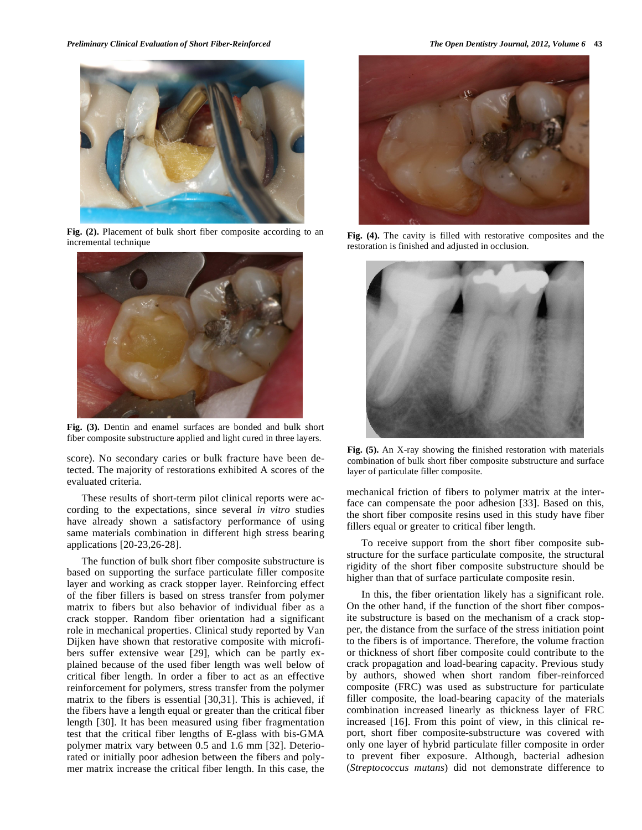

**Fig. (2).** Placement of bulk short fiber composite according to an incremental technique



**Fig. (3).** Dentin and enamel surfaces are bonded and bulk short fiber composite substructure applied and light cured in three layers.

score). No secondary caries or bulk fracture have been detected. The majority of restorations exhibited A scores of the evaluated criteria.

These results of short-term pilot clinical reports were according to the expectations, since several *in vitro* studies have already shown a satisfactory performance of using same materials combination in different high stress bearing applications [20-23,26-28].

The function of bulk short fiber composite substructure is based on supporting the surface particulate filler composite layer and working as crack stopper layer. Reinforcing effect of the fiber fillers is based on stress transfer from polymer matrix to fibers but also behavior of individual fiber as a crack stopper. Random fiber orientation had a significant role in mechanical properties. Clinical study reported by Van Dijken have shown that restorative composite with microfibers suffer extensive wear [29], which can be partly explained because of the used fiber length was well below of critical fiber length. In order a fiber to act as an effective reinforcement for polymers, stress transfer from the polymer matrix to the fibers is essential [30,31]. This is achieved, if the fibers have a length equal or greater than the critical fiber length [30]. It has been measured using fiber fragmentation test that the critical fiber lengths of E-glass with bis-GMA polymer matrix vary between 0.5 and 1.6 mm [32]. Deteriorated or initially poor adhesion between the fibers and polymer matrix increase the critical fiber length. In this case, the



**Fig. (4).** The cavity is filled with restorative composites and the restoration is finished and adjusted in occlusion.



**Fig. (5).** An X-ray showing the finished restoration with materials combination of bulk short fiber composite substructure and surface layer of particulate filler composite.

mechanical friction of fibers to polymer matrix at the interface can compensate the poor adhesion [33]. Based on this, the short fiber composite resins used in this study have fiber fillers equal or greater to critical fiber length.

To receive support from the short fiber composite substructure for the surface particulate composite, the structural rigidity of the short fiber composite substructure should be higher than that of surface particulate composite resin.

In this, the fiber orientation likely has a significant role. On the other hand, if the function of the short fiber composite substructure is based on the mechanism of a crack stopper, the distance from the surface of the stress initiation point to the fibers is of importance. Therefore, the volume fraction or thickness of short fiber composite could contribute to the crack propagation and load-bearing capacity. Previous study by authors, showed when short random fiber-reinforced composite (FRC) was used as substructure for particulate filler composite, the load-bearing capacity of the materials combination increased linearly as thickness layer of FRC increased [16]. From this point of view, in this clinical report, short fiber composite-substructure was covered with only one layer of hybrid particulate filler composite in order to prevent fiber exposure. Although, bacterial adhesion (*Streptococcus mutans*) did not demonstrate difference to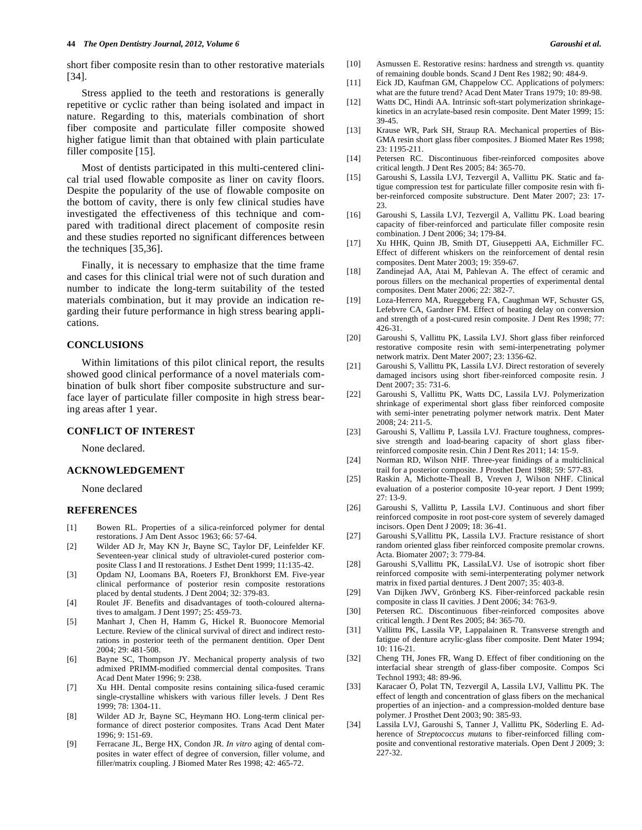#### **44** *The Open Dentistry Journal, 2012, Volume 6 Garoushi et al.*

short fiber composite resin than to other restorative materials [34].

Stress applied to the teeth and restorations is generally repetitive or cyclic rather than being isolated and impact in nature. Regarding to this, materials combination of short fiber composite and particulate filler composite showed higher fatigue limit than that obtained with plain particulate filler composite [15].

Most of dentists participated in this multi-centered clinical trial used flowable composite as liner on cavity floors. Despite the popularity of the use of flowable composite on the bottom of cavity, there is only few clinical studies have investigated the effectiveness of this technique and compared with traditional direct placement of composite resin and these studies reported no significant differences between the techniques [35,36].

Finally, it is necessary to emphasize that the time frame and cases for this clinical trial were not of such duration and number to indicate the long-term suitability of the tested materials combination, but it may provide an indication regarding their future performance in high stress bearing applications.

## **CONCLUSIONS**

Within limitations of this pilot clinical report, the results showed good clinical performance of a novel materials combination of bulk short fiber composite substructure and surface layer of particulate filler composite in high stress bearing areas after 1 year.

#### **CONFLICT OF INTEREST**

None declared.

#### **ACKNOWLEDGEMENT**

None declared

#### **REFERENCES**

- [1] Bowen RL. Properties of a silica-reinforced polymer for dental restorations. J Am Dent Assoc 1963; 66: 57-64.
- [2] Wilder AD Jr, May KN Jr, Bayne SC, Taylor DF, Leinfelder KF. Seventeen-year clinical study of ultraviolet-cured posterior composite Class I and II restorations. J Esthet Dent 1999; 11:135-42.
- [3] Opdam NJ, Loomans BA, Roeters FJ, Bronkhorst EM. Five-year clinical performance of posterior resin composite restorations placed by dental students. J Dent 2004; 32: 379-83.
- [4] Roulet JF. Benefits and disadvantages of tooth-coloured alternatives to amalgam. J Dent 1997; 25: 459-73.
- [5] Manhart J, Chen H, Hamm G, Hickel R. Buonocore Memorial Lecture. Review of the clinical survival of direct and indirect restorations in posterior teeth of the permanent dentition. Oper Dent 2004; 29: 481-508.
- [6] Bayne SC, Thompson JY. Mechanical property analysis of two admixed PRIMM-modified commercial dental composites. Trans Acad Dent Mater 1996; 9: 238.
- [7] Xu HH. Dental composite resins containing silica-fused ceramic single-crystalline whiskers with various filler levels. J Dent Res 1999; 78: 1304-11.
- [8] Wilder AD Jr, Bayne SC, Heymann HO. Long-term clinical performance of direct posterior composites. Trans Acad Dent Mater 1996; 9: 151-69.
- [9] Ferracane JL, Berge HX, Condon JR. *In vitro* aging of dental composites in water effect of degree of conversion, filler volume, and filler/matrix coupling. J Biomed Mater Res 1998; 42: 465-72.
- [10] Asmussen E. Restorative resins: hardness and strength *vs*. quantity of remaining double bonds. Scand J Dent Res 1982; 90: 484-9.
- [11] Eick JD, Kaufman GM, Chappelow CC. Applications of polymers: what are the future trend? Acad Dent Mater Trans 1979; 10: 89-98.
- [12] Watts DC, Hindi AA. Intrinsic soft-start polymerization shrinkagekinetics in an acrylate-based resin composite. Dent Mater 1999; 15: 39-45.
- [13] Krause WR, Park SH, Straup RA. Mechanical properties of Bis-GMA resin short glass fiber composites. J Biomed Mater Res 1998; 23: 1195-211.
- [14] Petersen RC. Discontinuous fiber-reinforced composites above critical length. J Dent Res 2005; 84: 365-70.
- [15] Garoushi S, Lassila LVJ, Tezvergil A, Vallittu PK. Static and fatigue compression test for particulate filler composite resin with fiber-reinforced composite substructure. Dent Mater 2007; 23: 17-  $23.$
- [16] Garoushi S, Lassila LVJ, Tezvergil A, Vallittu PK. Load bearing capacity of fiber-reinforced and particulate filler composite resin combination. J Dent 2006; 34; 179-84.
- [17] Xu HHK, Quinn JB, Smith DT, Giuseppetti AA, Eichmiller FC. Effect of different whiskers on the reinforcement of dental resin composites. Dent Mater 2003; 19: 359-67.
- [18] Zandinejad AA, Atai M, Pahlevan A. The effect of ceramic and porous fillers on the mechanical properties of experimental dental composites. Dent Mater 2006; 22: 382-7.
- [19] Loza-Herrero MA, Rueggeberg FA, Caughman WF, Schuster GS, Lefebvre CA, Gardner FM. Effect of heating delay on conversion and strength of a post-cured resin composite. J Dent Res 1998; 77: 426-31.
- [20] Garoushi S, Vallittu PK, Lassila LVJ. Short glass fiber reinforced restorative composite resin with semi-interpenetrating polymer network matrix. Dent Mater 2007; 23: 1356-62.
- [21] Garoushi S, Vallittu PK, Lassila LVJ. Direct restoration of severely damaged incisors using short fiber-reinforced composite resin. J Dent 2007; 35: 731-6.
- [22] Garoushi S, Vallittu PK, Watts DC, Lassila LVJ. Polymerization shrinkage of experimental short glass fiber reinforced composite with semi-inter penetrating polymer network matrix. Dent Mater 2008; 24: 211-5.
- [23] Garoushi S, Vallittu P, Lassila LVJ. Fracture toughness, compressive strength and load-bearing capacity of short glass fiberreinforced composite resin. Chin J Dent Res 2011; 14: 15-9.
- [24] Norman RD, Wilson NHF. Three-year finidings of a multiclinical trail for a posterior composite. J Prosthet Dent 1988; 59: 577-83.
- [25] Raskin A, Michotte-Theall B, Vreven J, Wilson NHF. Clinical evaluation of a posterior composite 10-year report. J Dent 1999; 27: 13-9.
- [26] Garoushi S, Vallittu P, Lassila LVJ. Continuous and short fiber reinforced composite in root post-core system of severely damaged incisors. Open Dent J 2009; 18: 36-41.
- [27] Garoushi S,Vallittu PK, Lassila LVJ. Fracture resistance of short random oriented glass fiber reinforced composite premolar crowns. Acta. Biomater 2007; 3: 779-84.
- [28] Garoushi S,Vallittu PK, LassilaLVJ. Use of isotropic short fiber reinforced composite with semi-interpenterating polymer network matrix in fixed partial dentures. J Dent 2007; 35: 403-8.
- [29] Van Dijken JWV, Grönberg KS. Fiber-reinforced packable resin composite in class II cavities. J Dent 2006; 34: 763-9.
- [30] Petersen RC. Discontinuous fiber-reinforced composites above critical length. J Dent Res 2005; 84: 365-70.
- [31] Vallittu PK, Lassila VP, Lappalainen R. Transverse strength and fatigue of denture acrylic-glass fiber composite. Dent Mater 1994; 10: 116-21.
- [32] Cheng TH, Jones FR, Wang D. Effect of fiber conditioning on the interfacial shear strength of glass-fiber composite. Compos Sci Technol 1993; 48: 89-96.
- [33] Karacaer Ö, Polat TN, Tezvergil A, Lassila LVJ, Vallittu PK. The effect of length and concentration of glass fibers on the mechanical properties of an injection- and a compression-molded denture base polymer. J Prosthet Dent 2003; 90: 385-93.
- [34] Lassila LVJ, Garoushi S, Tanner J, Vallittu PK, Söderling E. Adherence of *Streptococcus mutans* to fiber-reinforced filling composite and conventional restorative materials. Open Dent J 2009; 3: 227-32.